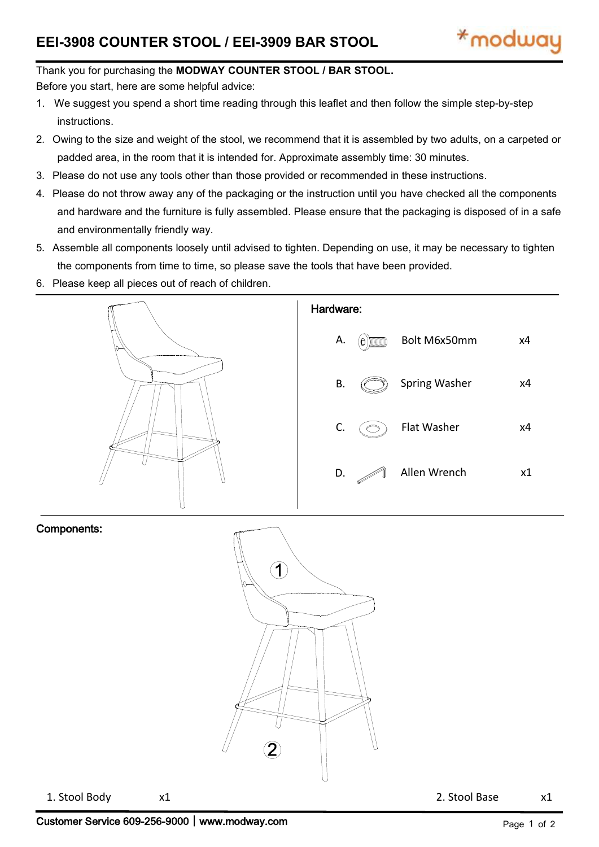### Thank you for purchasing the **MODWAY COUNTER STOOL / BAR STOOL.**

Before you start, here are some helpful advice:

- 1. We suggest you spend a short time reading through this leaflet and then follow the simple step-by-step instructions.
- 2. Owing to the size and weight of the stool, we recommend that it is assembled by two adults, on a carpeted or padded area, in the room that it is intended for. Approximate assembly time: 30 minutes.
- 3. Please do not use any tools other than those provided or recommended in these instructions.
- 4. Please do not throw away any of the packaging or the instruction until you have checked all the components and hardware and the furniture is fully assembled. Please ensure that the packaging is disposed of in a safe and environmentally friendly way.
- 5. Assemble all components loosely until advised to tighten. Depending on use, it may be necessary to tighten the components from time to time, so please save the tools that have been provided.
- 6. Please keep all pieces out of reach of children.



#### Components:



1. Stool Body x1 2. Stool Base x1